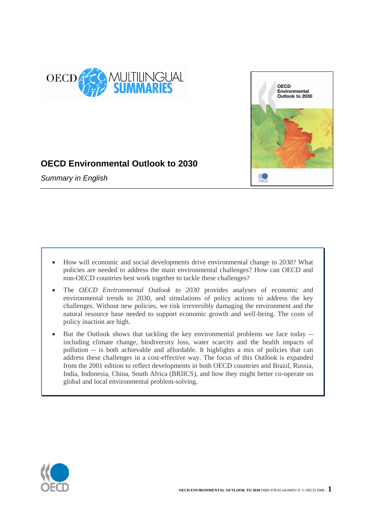



# **OECD Environmental Outlook to 2030**

*Summary in English*

- How will economic and social developments drive environmental change to 2030? What policies are needed to address the main environmental challenges? How can OECD and non-OECD countries best work together to tackle these challenges?
- The *OECD Environmental Outlook to 2030* provides analyses of economic and environmental trends to 2030, and simulations of policy actions to address the key challenges. Without new policies, we risk irreversibly damaging the environment and the natural resource base needed to support economic growth and well-being. The costs of policy inaction are high.
- But the Outlook shows that tackling the key environmental problems we face today including climate change, biodiversity loss, water scarcity and the health impacts of pollution -- is both achievable and affordable. It highlights a mix of policies that can address these challenges in a cost-effective way. The focus of this Outlook is expanded from the 2001 edition to reflect developments in both OECD countries and Brazil, Russia, India, Indonesia, China, South Africa (BRIICS), and how they might better co-operate on global and local environmental problem-solving.

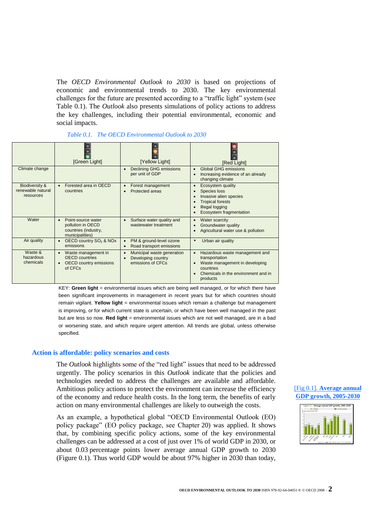The *OECD Environmental Outlook to 2030* is based on projections of economic and environmental trends to 2030. The key environmental challenges for the future are presented according to a "traffic light" system (see Table 0.1). The *Outlook* also presents simulations of policy actions to address the key challenges, including their potential environmental, economic and social impacts.

# *Table 0.1. The OECD Environmental Outlook to 2030*

|                                                             | [Green Light]                                                                                                      | [Yellow Light]                                                        | [Red Light]                                                                                                                                        |
|-------------------------------------------------------------|--------------------------------------------------------------------------------------------------------------------|-----------------------------------------------------------------------|----------------------------------------------------------------------------------------------------------------------------------------------------|
| Climate change                                              |                                                                                                                    | Declining GHG emissions<br>per unit of GDP                            | <b>Global GHG emissions</b><br>Increasing evidence of an already<br>changing climate                                                               |
| <b>Biodiversity &amp;</b><br>renewable natural<br>resources | Forested area in OECD<br>$\bullet$<br>countries                                                                    | Forest management<br>Protected areas                                  | Ecosystem quality<br>Species loss<br>Invasive alien species<br><b>Tropical forests</b><br><b>Illegal logging</b><br>Ecosystem fragmentation        |
| Water                                                       | Point-source water<br>$\bullet$<br>pollution in OECD<br>countries (industry,<br>municipalities)                    | Surface water quality and<br>wastewater treatment                     | Water scarcity<br>Groundwater quality<br>Agricultural water use & pollution                                                                        |
| Air quality                                                 | OECD country SO <sub>2</sub> & NOx<br>emissions                                                                    | PM & ground-level ozone<br>Road transport emissions                   | Urban air quality<br>$\bullet$                                                                                                                     |
| Waste &<br>hazardous<br>chemicals                           | Waste management in<br>$\bullet$<br><b>OECD</b> countries<br><b>OECD</b> country emissions<br>$\bullet$<br>of CFCs | Municipal waste generation<br>Developing country<br>emissions of CFCs | Hazardous waste management and<br>transportation<br>Waste management in developing<br>countries<br>Chemicals in the environment and in<br>products |

KEY: **Green light** = environmental issues which are being well managed, or for which there have been significant improvements in management in recent years but for which countries should remain vigilant. **Yellow light** = environmental issues which remain a challenge but management is improving, or for which current state is uncertain, or which have been well managed in the past but are less so now. **Red light** = environmental issues which are not well managed, are in a bad or worsening state, and which require urgent attention. All trends are global, unless otherwise specified.

## **Action is affordable: policy scenarios and costs**

The *Outlook* highlights some of the "red light" issues that need to be addressed urgently. The policy scenarios in this *Outlook* indicate that the policies and technologies needed to address the challenges are available and affordable. Ambitious policy actions to protect the environment can increase the efficiency of the economy and reduce health costs. In the long term, the benefits of early action on many environmental challenges are likely to outweigh the costs.

As an example, a hypothetical global "OECD Environmental Outlook (EO) policy package" (EO policy package, see Chapter 20) was applied. It shows that, by combining specific policy actions, some of the key environmental challenges can be addressed at a cost of just over 1% of world GDP in 2030, or about 0.03 percentage points lower average annual GDP growth to 2030 (Figure 0.1). Thus world GDP would be about 97% higher in 2030 than today,

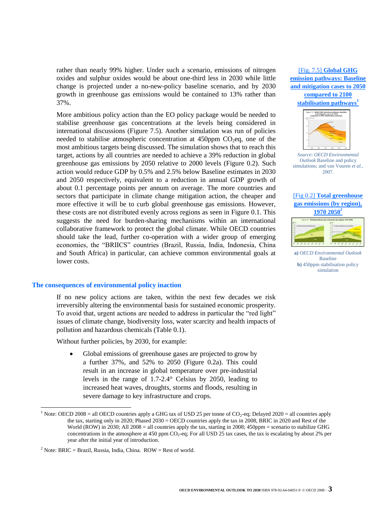rather than nearly 99% higher. Under such a scenario, emissions of nitrogen oxides and sulphur oxides would be about one-third less in 2030 while little change is projected under a no-new-policy baseline scenario, and by 2030 growth in greenhouse gas emissions would be contained to 13% rather than 37%.

More ambitious policy action than the EO policy package would be needed to stabilise greenhouse gas concentrations at the levels being considered in international discussions (Figure 7.5). Another simulation was run of policies needed to stabilise atmospheric concentration at 450ppm  $CO<sub>2</sub>eq$ , one of the most ambitious targets being discussed. The simulation shows that to reach this target, actions by all countries are needed to achieve a 39% reduction in global greenhouse gas emissions by 2050 relative to 2000 levels (Figure 0.2). Such action would reduce GDP by 0.5% and 2.5% below Baseline estimates in 2030 and 2050 respectively, equivalent to a reduction in annual GDP growth of about 0.1 percentage points per annum on average. The more countries and sectors that participate in climate change mitigation action, the cheaper and more effective it will be to curb global greenhouse gas emissions. However, these costs are not distributed evenly across regions as seen in Figure 0.1. This suggests the need for burden-sharing mechanisms within an international collaborative framework to protect the global climate. While OECD countries should take the lead, further co-operation with a wider group of emerging economies, the "BRIICS" countries (Brazil, Russia, India, Indonesia, China and South Africa) in particular, can achieve common environmental goals at lower costs.

#### **The consequences of environmental policy inaction**

If no new policy actions are taken, within the next few decades we risk irreversibly altering the environmental basis for sustained economic prosperity. To avoid that, urgent actions are needed to address in particular the "red light" issues of climate change, biodiversity loss, water scarcity and health impacts of pollution and hazardous chemicals (Table 0.1).

Without further policies, by 2030, for example:

 Global emissions of greenhouse gases are projected to grow by a further 37%, and 52% to 2050 (Figure 0.2a). This could result in an increase in global temperature over pre-industrial levels in the range of 1.7-2.4° Celsius by 2050, leading to increased heat waves, droughts, storms and floods, resulting in severe damage to key infrastructure and crops.

[Fig. 7.5] **[Global GHG](http://www.oecd.org/dataoecd/20/57/40108527.pdf)  [emission pathways: Baseline](http://www.oecd.org/dataoecd/20/57/40108527.pdf)  [and mitigation cases to 2050](http://www.oecd.org/dataoecd/20/57/40108527.pdf)  [compared to 2100](http://www.oecd.org/dataoecd/20/57/40108527.pdf)  [stabilisation pathways](http://www.oecd.org/dataoecd/20/57/40108527.pdf)<sup>1</sup>**



*Source*: *OECD Environmental Outlook* Baseline and policy simulations; and van Vuuren *et al.*, 2007.

# [Fig 0.2] **[Total greenhouse](http://www.oecd.org/dataoecd/20/57/40108527.pdf)  [gas emissions \(by region\),](http://www.oecd.org/dataoecd/20/57/40108527.pdf)  [1970 2050](http://www.oecd.org/dataoecd/20/57/40108527.pdf)<sup>2</sup>**



**a)** *OECD Environmental Outlook* Baseline **b**) 450ppm stabilisation policy simulation

<sup>&</sup>lt;sup>1</sup> Note: OECD 2008 = all OECD countries apply a GHG tax of USD 25 per tonne of CO<sub>2</sub>-eq; Delayed 2020 = all countries apply the tax, starting only in 2020; Phased 2030 = OECD countries apply the tax in 2008, BRIC in 2020 and Rest of the World (ROW) in 2030; All 2008 = all countries apply the tax, starting in 2008; 450ppm = scenario to stabilize GHG concentrations in the atmosphere at 450 ppm  $CO_2$ -eq; For all USD 25 tax cases, the tax is escalating by about 2% per year after the initial year of introduction.

<sup>&</sup>lt;sup>2</sup> Note: BRIC = Brazil, Russia, India, China. ROW = Rest of world.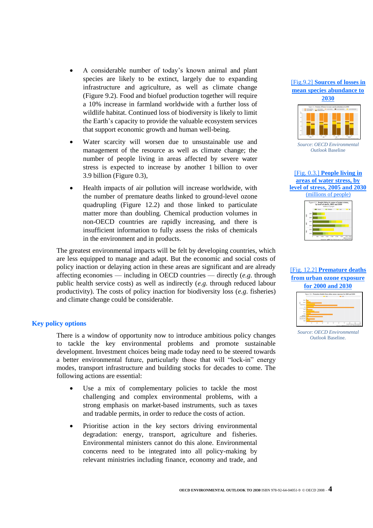- A considerable number of today's known animal and plant species are likely to be extinct, largely due to expanding infrastructure and agriculture, as well as climate change (Figure 9.2). Food and biofuel production together will require a 10% increase in farmland worldwide with a further loss of wildlife habitat. Continued loss of biodiversity is likely to limit the Earth's capacity to provide the valuable ecosystem services that support economic growth and human well-being.
- Water scarcity will worsen due to unsustainable use and management of the resource as well as climate change; the number of people living in areas affected by severe water stress is expected to increase by another 1 billion to over 3.9 billion (Figure 0.3),
- Health impacts of air pollution will increase worldwide, with the number of premature deaths linked to ground-level ozone quadrupling (Figure 12.2) and those linked to particulate matter more than doubling. Chemical production volumes in non-OECD countries are rapidly increasing, and there is insufficient information to fully assess the risks of chemicals in the environment and in products.

The greatest environmental impacts will be felt by developing countries, which are less equipped to manage and adapt. But the economic and social costs of policy inaction or delaying action in these areas are significant and are already affecting economies — including in OECD countries — directly (*e.g*. through public health service costs) as well as indirectly (*e.g.* through reduced labour productivity). The costs of policy inaction for biodiversity loss (*e.g*. fisheries) and climate change could be considerable.

# **Key policy options**

There is a window of opportunity now to introduce ambitious policy changes to tackle the key environmental problems and promote sustainable development. Investment choices being made today need to be steered towards a better environmental future, particularly those that will "lock-in" energy modes, transport infrastructure and building stocks for decades to come. The following actions are essential:

- Use a mix of complementary policies to tackle the most challenging and complex environmental problems, with a strong emphasis on market-based instruments, such as taxes and tradable permits, in order to reduce the costs of action.
- Prioritise action in the key sectors driving environmental degradation: energy, transport, agriculture and fisheries. Environmental ministers cannot do this alone. Environmental concerns need to be integrated into all policy-making by relevant ministries including finance, economy and trade, and



[Fig.9.2] **[Sources of losses in](http://www.oecd.org/dataoecd/21/41/40109307.pdf)** 

*Source*: *OECD Environmental Outlook* Baseline





[Fig. 12.2] **[Premature deaths](http://www.oecd.org/dataoecd/21/42/40109332.pdf)  [from urban ozone exposure](http://www.oecd.org/dataoecd/21/42/40109332.pdf)** 





*Source*: *OECD Environmental Outlook* Baseline.